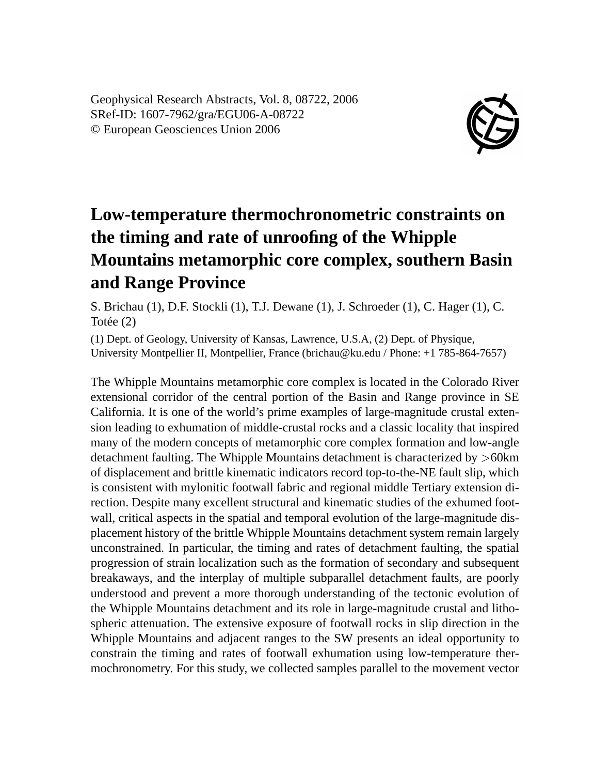Geophysical Research Abstracts, Vol. 8, 08722, 2006 SRef-ID: 1607-7962/gra/EGU06-A-08722 © European Geosciences Union 2006



## **Low-temperature thermochronometric constraints on the timing and rate of unroofing of the Whipple Mountains metamorphic core complex, southern Basin and Range Province**

S. Brichau (1), D.F. Stockli (1), T.J. Dewane (1), J. Schroeder (1), C. Hager (1), C. Totée (2)

(1) Dept. of Geology, University of Kansas, Lawrence, U.S.A, (2) Dept. of Physique, University Montpellier II, Montpellier, France (brichau@ku.edu / Phone: +1 785-864-7657)

The Whipple Mountains metamorphic core complex is located in the Colorado River extensional corridor of the central portion of the Basin and Range province in SE California. It is one of the world's prime examples of large-magnitude crustal extension leading to exhumation of middle-crustal rocks and a classic locality that inspired many of the modern concepts of metamorphic core complex formation and low-angle detachment faulting. The Whipple Mountains detachment is characterized by >60km of displacement and brittle kinematic indicators record top-to-the-NE fault slip, which is consistent with mylonitic footwall fabric and regional middle Tertiary extension direction. Despite many excellent structural and kinematic studies of the exhumed footwall, critical aspects in the spatial and temporal evolution of the large-magnitude displacement history of the brittle Whipple Mountains detachment system remain largely unconstrained. In particular, the timing and rates of detachment faulting, the spatial progression of strain localization such as the formation of secondary and subsequent breakaways, and the interplay of multiple subparallel detachment faults, are poorly understood and prevent a more thorough understanding of the tectonic evolution of the Whipple Mountains detachment and its role in large-magnitude crustal and lithospheric attenuation. The extensive exposure of footwall rocks in slip direction in the Whipple Mountains and adjacent ranges to the SW presents an ideal opportunity to constrain the timing and rates of footwall exhumation using low-temperature thermochronometry. For this study, we collected samples parallel to the movement vector